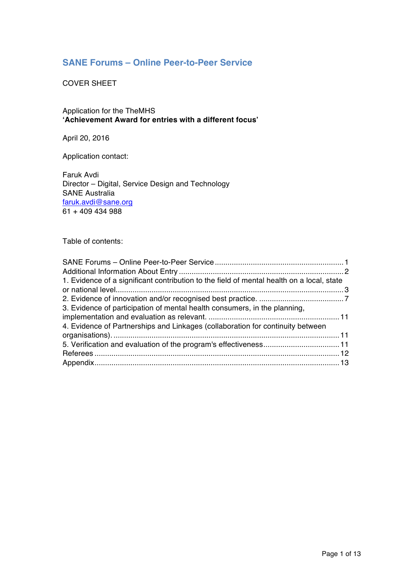## **SANE Forums – Online Peer-to-Peer Service**

COVER SHEET

Application for the TheMHS **'Achievement Award for entries with a different focus'**

April 20, 2016

Application contact:

Faruk Avdi Director – Digital, Service Design and Technology SANE Australia faruk.avdi@sane.org 61 + 409 434 988

Table of contents: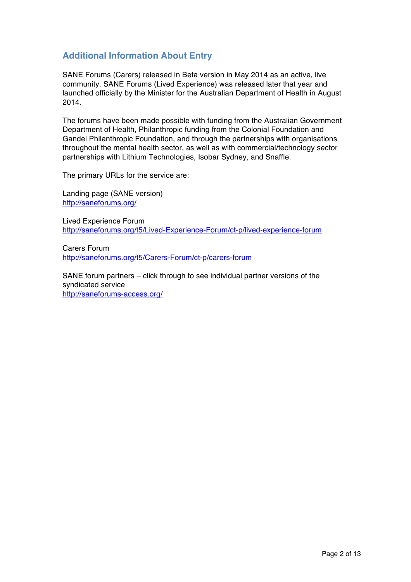## **Additional Information About Entry**

SANE Forums (Carers) released in Beta version in May 2014 as an active, live community. SANE Forums (Lived Experience) was released later that year and launched officially by the Minister for the Australian Department of Health in August 2014.

The forums have been made possible with funding from the Australian Government Department of Health, Philanthropic funding from the Colonial Foundation and Gandel Philanthropic Foundation, and through the partnerships with organisations throughout the mental health sector, as well as with commercial/technology sector partnerships with Lithium Technologies, Isobar Sydney, and Snaffle.

The primary URLs for the service are:

Landing page (SANE version) http://saneforums.org/

Lived Experience Forum http://saneforums.org/t5/Lived-Experience-Forum/ct-p/lived-experience-forum

Carers Forum http://saneforums.org/t5/Carers-Forum/ct-p/carers-forum

SANE forum partners – click through to see individual partner versions of the syndicated service http://saneforums-access.org/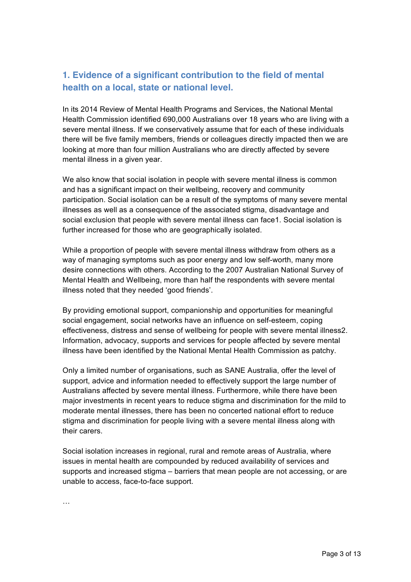# **1. Evidence of a significant contribution to the field of mental health on a local, state or national level.**

In its 2014 Review of Mental Health Programs and Services, the National Mental Health Commission identified 690,000 Australians over 18 years who are living with a severe mental illness. If we conservatively assume that for each of these individuals there will be five family members, friends or colleagues directly impacted then we are looking at more than four million Australians who are directly affected by severe mental illness in a given year.

We also know that social isolation in people with severe mental illness is common and has a significant impact on their wellbeing, recovery and community participation. Social isolation can be a result of the symptoms of many severe mental illnesses as well as a consequence of the associated stigma, disadvantage and social exclusion that people with severe mental illness can face1. Social isolation is further increased for those who are geographically isolated.

While a proportion of people with severe mental illness withdraw from others as a way of managing symptoms such as poor energy and low self-worth, many more desire connections with others. According to the 2007 Australian National Survey of Mental Health and Wellbeing, more than half the respondents with severe mental illness noted that they needed 'good friends'.

By providing emotional support, companionship and opportunities for meaningful social engagement, social networks have an influence on self-esteem, coping effectiveness, distress and sense of wellbeing for people with severe mental illness2. Information, advocacy, supports and services for people affected by severe mental illness have been identified by the National Mental Health Commission as patchy.

Only a limited number of organisations, such as SANE Australia, offer the level of support, advice and information needed to effectively support the large number of Australians affected by severe mental illness. Furthermore, while there have been major investments in recent years to reduce stigma and discrimination for the mild to moderate mental illnesses, there has been no concerted national effort to reduce stigma and discrimination for people living with a severe mental illness along with their carers.

Social isolation increases in regional, rural and remote areas of Australia, where issues in mental health are compounded by reduced availability of services and supports and increased stigma – barriers that mean people are not accessing, or are unable to access, face-to-face support.

…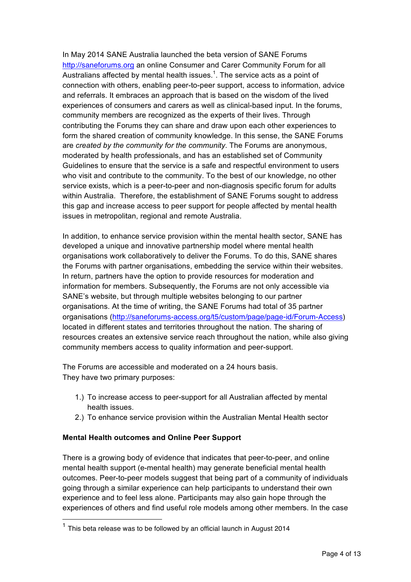In May 2014 SANE Australia launched the beta version of SANE Forums http://saneforums.org an online Consumer and Carer Community Forum for all Australians affected by mental health issues.<sup>1</sup>. The service acts as a point of connection with others, enabling peer-to-peer support, access to information, advice and referrals. It embraces an approach that is based on the wisdom of the lived experiences of consumers and carers as well as clinical-based input. In the forums, community members are recognized as the experts of their lives. Through contributing the Forums they can share and draw upon each other experiences to form the shared creation of community knowledge. In this sense, the SANE Forums are *created by the community for the community*. The Forums are anonymous, moderated by health professionals, and has an established set of Community Guidelines to ensure that the service is a safe and respectful environment to users who visit and contribute to the community. To the best of our knowledge, no other service exists, which is a peer-to-peer and non-diagnosis specific forum for adults within Australia. Therefore, the establishment of SANE Forums sought to address this gap and increase access to peer support for people affected by mental health issues in metropolitan, regional and remote Australia.

In addition, to enhance service provision within the mental health sector, SANE has developed a unique and innovative partnership model where mental health organisations work collaboratively to deliver the Forums. To do this, SANE shares the Forums with partner organisations, embedding the service within their websites. In return, partners have the option to provide resources for moderation and information for members. Subsequently, the Forums are not only accessible via SANE's website, but through multiple websites belonging to our partner organisations. At the time of writing, the SANE Forums had total of 35 partner organisations (http://saneforums-access.org/t5/custom/page/page-id/Forum-Access) located in different states and territories throughout the nation. The sharing of resources creates an extensive service reach throughout the nation, while also giving community members access to quality information and peer-support.

The Forums are accessible and moderated on a 24 hours basis. They have two primary purposes:

- 1.) To increase access to peer-support for all Australian affected by mental health issues.
- 2.) To enhance service provision within the Australian Mental Health sector

#### **Mental Health outcomes and Online Peer Support**

There is a growing body of evidence that indicates that peer-to-peer, and online mental health support (e-mental health) may generate beneficial mental health outcomes. Peer-to-peer models suggest that being part of a community of individuals going through a similar experience can help participants to understand their own experience and to feel less alone. Participants may also gain hope through the experiences of others and find useful role models among other members. In the case

 $1$  This beta release was to be followed by an official launch in August 2014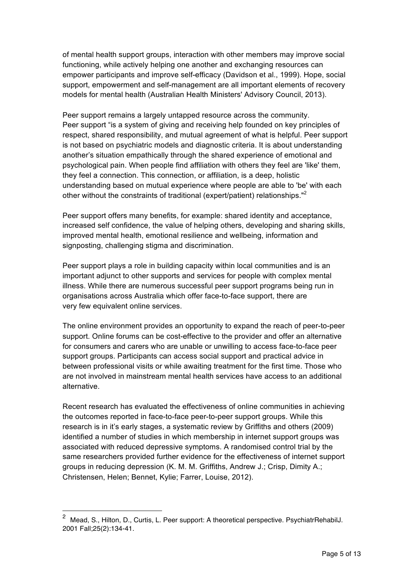of mental health support groups, interaction with other members may improve social functioning, while actively helping one another and exchanging resources can empower participants and improve self-efficacy (Davidson et al., 1999). Hope, social support, empowerment and self-management are all important elements of recovery models for mental health (Australian Health Ministers' Advisory Council, 2013).

Peer support remains a largely untapped resource across the community. Peer support "is a system of giving and receiving help founded on key principles of respect, shared responsibility, and mutual agreement of what is helpful. Peer support is not based on psychiatric models and diagnostic criteria. It is about understanding another's situation empathically through the shared experience of emotional and psychological pain. When people find affiliation with others they feel are 'like' them, they feel a connection. This connection, or affiliation, is a deep, holistic understanding based on mutual experience where people are able to 'be' with each other without the constraints of traditional (expert/patient) relationships."<sup>2</sup>

Peer support offers many benefits, for example: shared identity and acceptance, increased self confidence, the value of helping others, developing and sharing skills, improved mental health, emotional resilience and wellbeing, information and signposting, challenging stigma and discrimination.

Peer support plays a role in building capacity within local communities and is an important adjunct to other supports and services for people with complex mental illness. While there are numerous successful peer support programs being run in organisations across Australia which offer face-to-face support, there are very few equivalent online services.

The online environment provides an opportunity to expand the reach of peer-to-peer support. Online forums can be cost-effective to the provider and offer an alternative for consumers and carers who are unable or unwilling to access face-to-face peer support groups. Participants can access social support and practical advice in between professional visits or while awaiting treatment for the first time. Those who are not involved in mainstream mental health services have access to an additional alternative.

Recent research has evaluated the effectiveness of online communities in achieving the outcomes reported in face-to-face peer-to-peer support groups. While this research is in it's early stages, a systematic review by Griffiths and others (2009) identified a number of studies in which membership in internet support groups was associated with reduced depressive symptoms. A randomised control trial by the same researchers provided further evidence for the effectiveness of internet support groups in reducing depression (K. M. M. Griffiths, Andrew J.; Crisp, Dimity A.; Christensen, Helen; Bennet, Kylie; Farrer, Louise, 2012).

<sup>&</sup>lt;sup>2</sup> Mead. S., Hilton, D., Curtis, L. Peer support: A theoretical perspective. PsychiatrRehabilJ. 2001 Fall;25(2):134-41.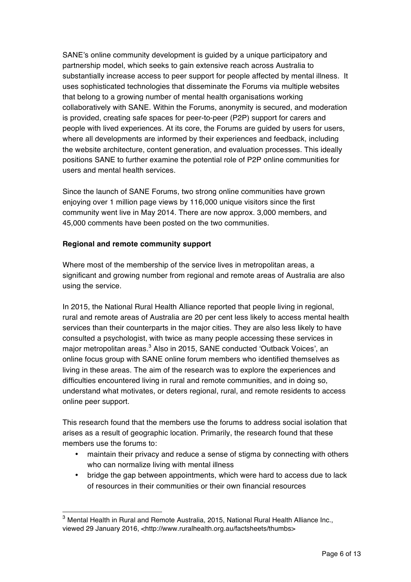SANE's online community development is guided by a unique participatory and partnership model, which seeks to gain extensive reach across Australia to substantially increase access to peer support for people affected by mental illness. It uses sophisticated technologies that disseminate the Forums via multiple websites that belong to a growing number of mental health organisations working collaboratively with SANE. Within the Forums, anonymity is secured, and moderation is provided, creating safe spaces for peer-to-peer (P2P) support for carers and people with lived experiences. At its core, the Forums are guided by users for users, where all developments are informed by their experiences and feedback, including the website architecture, content generation, and evaluation processes. This ideally positions SANE to further examine the potential role of P2P online communities for users and mental health services.

Since the launch of SANE Forums, two strong online communities have grown enjoying over 1 million page views by 116,000 unique visitors since the first community went live in May 2014. There are now approx. 3,000 members, and 45,000 comments have been posted on the two communities.

#### **Regional and remote community support**

Where most of the membership of the service lives in metropolitan areas, a significant and growing number from regional and remote areas of Australia are also using the service.

In 2015, the National Rural Health Alliance reported that people living in regional, rural and remote areas of Australia are 20 per cent less likely to access mental health services than their counterparts in the major cities. They are also less likely to have consulted a psychologist, with twice as many people accessing these services in major metropolitan areas.<sup>3</sup> Also in 2015, SANE conducted 'Outback Voices', an online focus group with SANE online forum members who identified themselves as living in these areas. The aim of the research was to explore the experiences and difficulties encountered living in rural and remote communities, and in doing so, understand what motivates, or deters regional, rural, and remote residents to access online peer support.

This research found that the members use the forums to address social isolation that arises as a result of geographic location. Primarily, the research found that these members use the forums to:

- maintain their privacy and reduce a sense of stigma by connecting with others who can normalize living with mental illness
- bridge the gap between appointments, which were hard to access due to lack of resources in their communities or their own financial resources

<sup>&</sup>lt;sup>3</sup> Mental Health in Rural and Remote Australia, 2015, National Rural Health Alliance Inc., viewed 29 January 2016, <http://www.ruralhealth.org.au/factsheets/thumbs>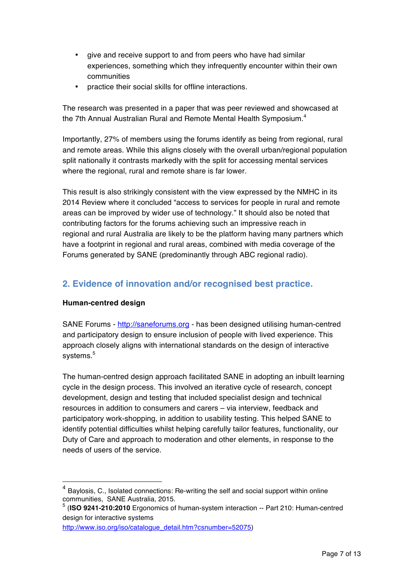- give and receive support to and from peers who have had similar experiences, something which they infrequently encounter within their own communities
- practice their social skills for offline interactions.

The research was presented in a paper that was peer reviewed and showcased at the 7th Annual Australian Rural and Remote Mental Health Symposium.<sup>4</sup>

Importantly, 27% of members using the forums identify as being from regional, rural and remote areas. While this aligns closely with the overall urban/regional population split nationally it contrasts markedly with the split for accessing mental services where the regional, rural and remote share is far lower.

This result is also strikingly consistent with the view expressed by the NMHC in its 2014 Review where it concluded "access to services for people in rural and remote areas can be improved by wider use of technology." It should also be noted that contributing factors for the forums achieving such an impressive reach in regional and rural Australia are likely to be the platform having many partners which have a footprint in regional and rural areas, combined with media coverage of the Forums generated by SANE (predominantly through ABC regional radio).

## **2. Evidence of innovation and/or recognised best practice.**

#### **Human-centred design**

SANE Forums - http://saneforums.org - has been designed utilising human-centred and participatory design to ensure inclusion of people with lived experience. This approach closely aligns with international standards on the design of interactive systems.<sup>5</sup>

The human-centred design approach facilitated SANE in adopting an inbuilt learning cycle in the design process. This involved an iterative cycle of research, concept development, design and testing that included specialist design and technical resources in addition to consumers and carers – via interview, feedback and participatory work-shopping, in addition to usability testing. This helped SANE to identify potential difficulties whilst helping carefully tailor features, functionality, our Duty of Care and approach to moderation and other elements, in response to the needs of users of the service.

Baylosis, C., Isolated connections: Re-writing the self and social support within online communities, SANE Australia, 2015.

<sup>5</sup> (**ISO 9241-210:2010** Ergonomics of human-system interaction -- Part 210: Human-centred design for interactive systems

http://www.iso.org/iso/catalogue\_detail.htm?csnumber=52075)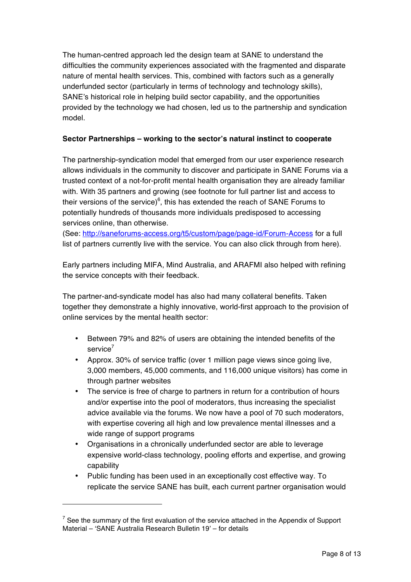The human-centred approach led the design team at SANE to understand the difficulties the community experiences associated with the fragmented and disparate nature of mental health services. This, combined with factors such as a generally underfunded sector (particularly in terms of technology and technology skills), SANE's historical role in helping build sector capability, and the opportunities provided by the technology we had chosen, led us to the partnership and syndication model.

#### **Sector Partnerships – working to the sector's natural instinct to cooperate**

The partnership-syndication model that emerged from our user experience research allows individuals in the community to discover and participate in SANE Forums via a trusted context of a not-for-profit mental health organisation they are already familiar with. With 35 partners and growing (see footnote for full partner list and access to their versions of the service) $^6$ , this has extended the reach of SANE Forums to potentially hundreds of thousands more individuals predisposed to accessing services online, than otherwise.

(See: http://saneforums-access.org/t5/custom/page/page-id/Forum-Access for a full list of partners currently live with the service. You can also click through from here).

Early partners including MIFA, Mind Australia, and ARAFMI also helped with refining the service concepts with their feedback.

The partner-and-syndicate model has also had many collateral benefits. Taken together they demonstrate a highly innovative, world-first approach to the provision of online services by the mental health sector:

- Between 79% and 82% of users are obtaining the intended benefits of the service $7$
- Approx. 30% of service traffic (over 1 million page views since going live, 3,000 members, 45,000 comments, and 116,000 unique visitors) has come in through partner websites
- The service is free of charge to partners in return for a contribution of hours and/or expertise into the pool of moderators, thus increasing the specialist advice available via the forums. We now have a pool of 70 such moderators, with expertise covering all high and low prevalence mental illnesses and a wide range of support programs
- Organisations in a chronically underfunded sector are able to leverage expensive world-class technology, pooling efforts and expertise, and growing capability
- Public funding has been used in an exceptionally cost effective way. To replicate the service SANE has built, each current partner organisation would

 $\overline{a}$ 

 $7$  See the summary of the first evaluation of the service attached in the Appendix of Support Material – 'SANE Australia Research Bulletin 19' – for details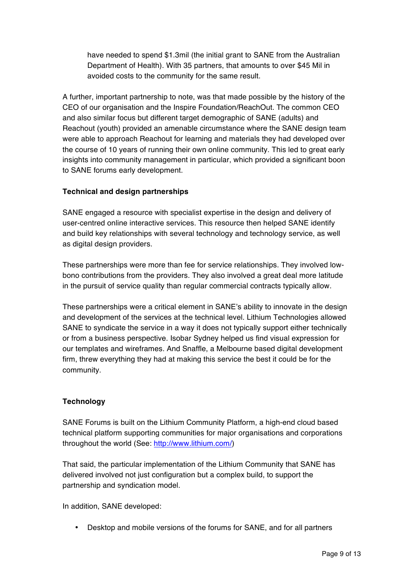have needed to spend \$1.3mil (the initial grant to SANE from the Australian Department of Health). With 35 partners, that amounts to over \$45 Mil in avoided costs to the community for the same result.

A further, important partnership to note, was that made possible by the history of the CEO of our organisation and the Inspire Foundation/ReachOut. The common CEO and also similar focus but different target demographic of SANE (adults) and Reachout (youth) provided an amenable circumstance where the SANE design team were able to approach Reachout for learning and materials they had developed over the course of 10 years of running their own online community. This led to great early insights into community management in particular, which provided a significant boon to SANE forums early development.

#### **Technical and design partnerships**

SANE engaged a resource with specialist expertise in the design and delivery of user-centred online interactive services. This resource then helped SANE identify and build key relationships with several technology and technology service, as well as digital design providers.

These partnerships were more than fee for service relationships. They involved lowbono contributions from the providers. They also involved a great deal more latitude in the pursuit of service quality than regular commercial contracts typically allow.

These partnerships were a critical element in SANE's ability to innovate in the design and development of the services at the technical level. Lithium Technologies allowed SANE to syndicate the service in a way it does not typically support either technically or from a business perspective. Isobar Sydney helped us find visual expression for our templates and wireframes. And Snaffle, a Melbourne based digital development firm, threw everything they had at making this service the best it could be for the community.

#### **Technology**

SANE Forums is built on the Lithium Community Platform, a high-end cloud based technical platform supporting communities for major organisations and corporations throughout the world (See: http://www.lithium.com/)

That said, the particular implementation of the Lithium Community that SANE has delivered involved not just configuration but a complex build, to support the partnership and syndication model.

In addition, SANE developed:

• Desktop and mobile versions of the forums for SANE, and for all partners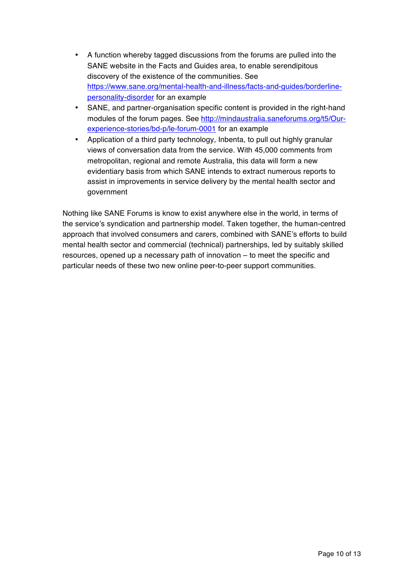- A function whereby tagged discussions from the forums are pulled into the SANE website in the Facts and Guides area, to enable serendipitous discovery of the existence of the communities. See https://www.sane.org/mental-health-and-illness/facts-and-guides/borderlinepersonality-disorder for an example
- SANE, and partner-organisation specific content is provided in the right-hand modules of the forum pages. See http://mindaustralia.saneforums.org/t5/Ourexperience-stories/bd-p/le-forum-0001 for an example
- Application of a third party technology, Inbenta, to pull out highly granular views of conversation data from the service. With 45,000 comments from metropolitan, regional and remote Australia, this data will form a new evidentiary basis from which SANE intends to extract numerous reports to assist in improvements in service delivery by the mental health sector and government

Nothing like SANE Forums is know to exist anywhere else in the world, in terms of the service's syndication and partnership model. Taken together, the human-centred approach that involved consumers and carers, combined with SANE's efforts to build mental health sector and commercial (technical) partnerships, led by suitably skilled resources, opened up a necessary path of innovation – to meet the specific and particular needs of these two new online peer-to-peer support communities.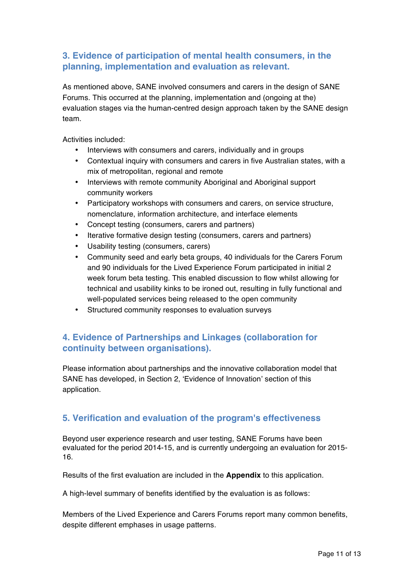## **3. Evidence of participation of mental health consumers, in the planning, implementation and evaluation as relevant.**

As mentioned above, SANE involved consumers and carers in the design of SANE Forums. This occurred at the planning, implementation and (ongoing at the) evaluation stages via the human-centred design approach taken by the SANE design team.

Activities included:

- Interviews with consumers and carers, individually and in groups
- Contextual inquiry with consumers and carers in five Australian states, with a mix of metropolitan, regional and remote
- Interviews with remote community Aboriginal and Aboriginal support community workers
- Participatory workshops with consumers and carers, on service structure, nomenclature, information architecture, and interface elements
- Concept testing (consumers, carers and partners)
- Iterative formative design testing (consumers, carers and partners)
- Usability testing (consumers, carers)
- Community seed and early beta groups, 40 individuals for the Carers Forum and 90 individuals for the Lived Experience Forum participated in initial 2 week forum beta testing. This enabled discussion to flow whilst allowing for technical and usability kinks to be ironed out, resulting in fully functional and well-populated services being released to the open community
- Structured community responses to evaluation surveys

## **4. Evidence of Partnerships and Linkages (collaboration for continuity between organisations).**

Please information about partnerships and the innovative collaboration model that SANE has developed, in Section 2, 'Evidence of Innovation' section of this application.

#### **5. Verification and evaluation of the program's effectiveness**

Beyond user experience research and user testing, SANE Forums have been evaluated for the period 2014-15, and is currently undergoing an evaluation for 2015- 16.

Results of the first evaluation are included in the **Appendix** to this application.

A high-level summary of benefits identified by the evaluation is as follows:

Members of the Lived Experience and Carers Forums report many common benefits, despite different emphases in usage patterns.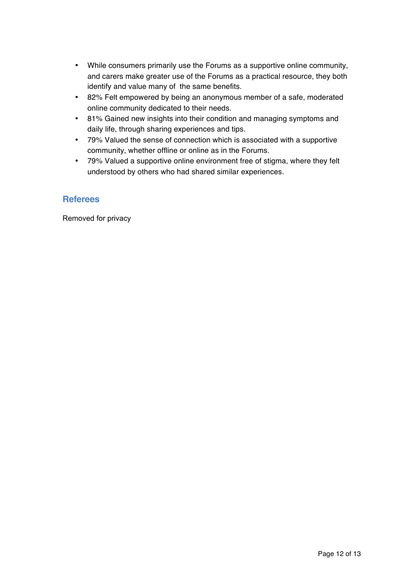- While consumers primarily use the Forums as a supportive online community, and carers make greater use of the Forums as a practical resource, they both identify and value many of the same benefits.
- 82% Felt empowered by being an anonymous member of a safe, moderated online community dedicated to their needs.
- 81% Gained new insights into their condition and managing symptoms and daily life, through sharing experiences and tips.
- 79% Valued the sense of connection which is associated with a supportive community, whether offline or online as in the Forums.
- 79% Valued a supportive online environment free of stigma, where they felt understood by others who had shared similar experiences.

#### **Referees**

Removed for privacy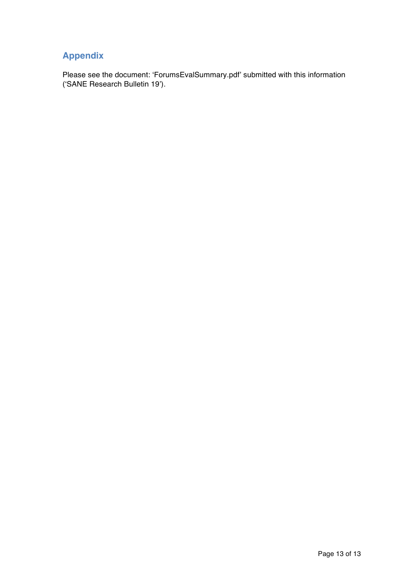# **Appendix**

Please see the document: 'ForumsEvalSummary.pdf' submitted with this information ('SANE Research Bulletin 19').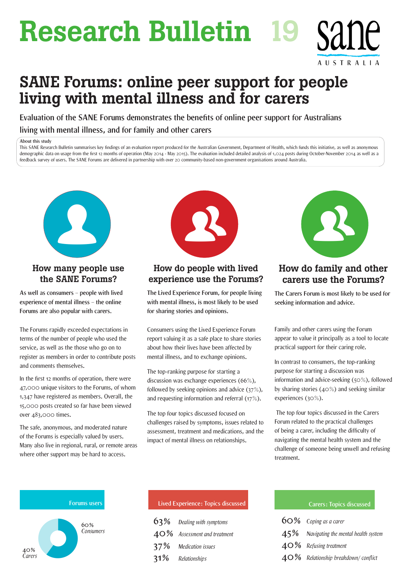# Research Bulletin 19

# SANE Forums: online peer support for people living with mental illness and for carers

**Evaluation of the SANE Forums demonstrates the benefits of online peer support for Australians living with mental illness, and for family and other carers**

#### **About this study**

This SANE Research Bulletin summarises key findings of an evaluation report produced for the Australian Government, Department of Health, which funds this initiative, as well as anonymous demographic data on usage from the first 12 months of operation (May 2014 - May 2015). The evaluation included detailed analysis of 1,024 posts during October-November 2014 as well as a feedback survey of users. The SANE Forums are delivered in partnership with over 20 community-based non-government organisations around Australia.



## How many people use the SANE Forums?

**As well as consumers – people with lived experience of mental illness – the online Forums are also popular with carers.**

The Forums rapidly exceeded expectations in terms of the number of people who used the service, as well as the those who go on to register as members in order to contribute posts and comments themselves.

In the first 12 months of operation, there were 47,000 unique visitors to the Forums, of whom 1,347 have registered as members. Overall, the 15,000 posts created so far have been viewed over 483,000 times.

The safe, anonymous, and moderated nature of the Forums is especially valued by users. Many also live in regional, rural, or remote areas where other support may be hard to access.



## How do people with lived experience use the Forums?

**The Lived Experience Forum, for people living with mental illness, is most likely to be used for sharing stories and opinions.**

Consumers using the Lived Experience Forum report valuing it as a safe place to share stories about how their lives have been affected by mental illness, and to exchange opinions.

The top-ranking purpose for starting a discussion was exchange experiences (66%), followed by seeking opinions and advice (37%), and requesting information and referral (17%).

The top four topics discussed focused on challenges raised by symptoms, issues related to assessment, treatment and medications, and the impact of mental illness on relationships.



AUSTRALIA

## How do family and other carers use the Forums?

**The Carers Forum is most likely to be used for seeking information and advice.**

Family and other carers using the Forum appear to value it principally as a tool to locate practical support for their caring role.

In contrast to consumers, the top-ranking purpose for starting a discussion was information and advice-seeking (50%), followed by sharing stories (40%) and seeking similar experiences (30%).

 The top four topics discussed in the Carers Forum related to the practical challenges of being a carer, including the difficulty of navigating the mental health system and the challenge of someone being unwell and refusing treatment.



| Lived Experience: Topics discussed |
|------------------------------------|
| $63\%$ Dealing with symptoms       |
| $40\%$ Assessment and treatment    |
| 37% Medication issues              |
| 31% Relationships                  |

#### **Lived Experience: Topics discussed Carers: Topics discussed**

| 60% Coping as a carer                      |
|--------------------------------------------|
| $45\%$ Navigating the mental health system |
| $40\%$ Refusing treatment                  |
| $40\%$ Relationship breakdown/conflict     |